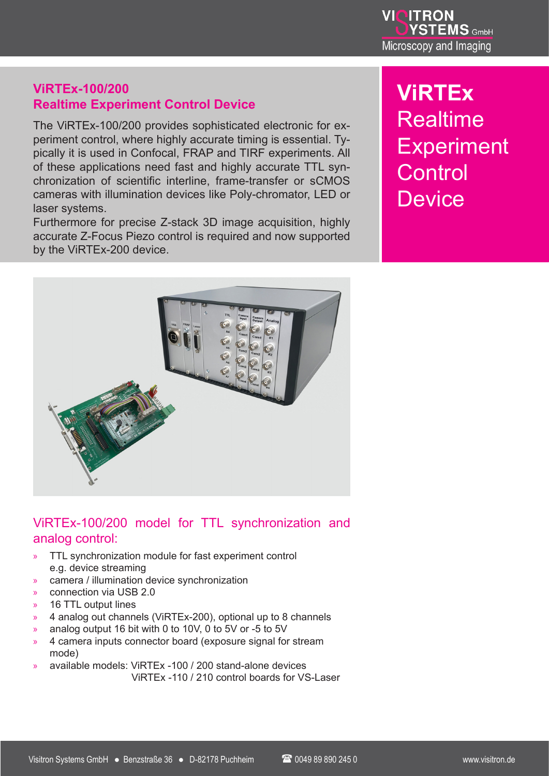

## **ViRTEx-100/200 Realtime Experiment Control Device**

The ViRTEx-100/200 provides sophisticated electronic for experiment control, where highly accurate timing is essential. Typically it is used in Confocal, FRAP and TIRF experiments. All of these applications need fast and highly accurate TTL synchronization of scientific interline, frame-transfer or sCMOS cameras with illumination devices like Poly-chromator, LED or laser systems.

Furthermore for precise Z-stack 3D image acquisition, highly accurate Z-Focus Piezo control is required and now supported by the ViRTEx-200 device.

# **ViRTEx** Realtime **Experiment Control Device**



### ViRTEx-100/200 model for TTL synchronization and analog control:

- TTL synchronization module for fast experiment control e.g. device streaming
- » camera / illumination device synchronization
- » connection via USB 2.0
- 16 TTL output lines
- » 4 analog out channels (ViRTEx-200), optional up to 8 channels
- » analog output 16 bit with 0 to 10V, 0 to 5V or -5 to 5V
- » 4 camera inputs connector board (exposure signal for stream mode)
- » available models: ViRTEx -100 / 200 stand-alone devices ViRTEx -110 / 210 control boards for VS-Laser